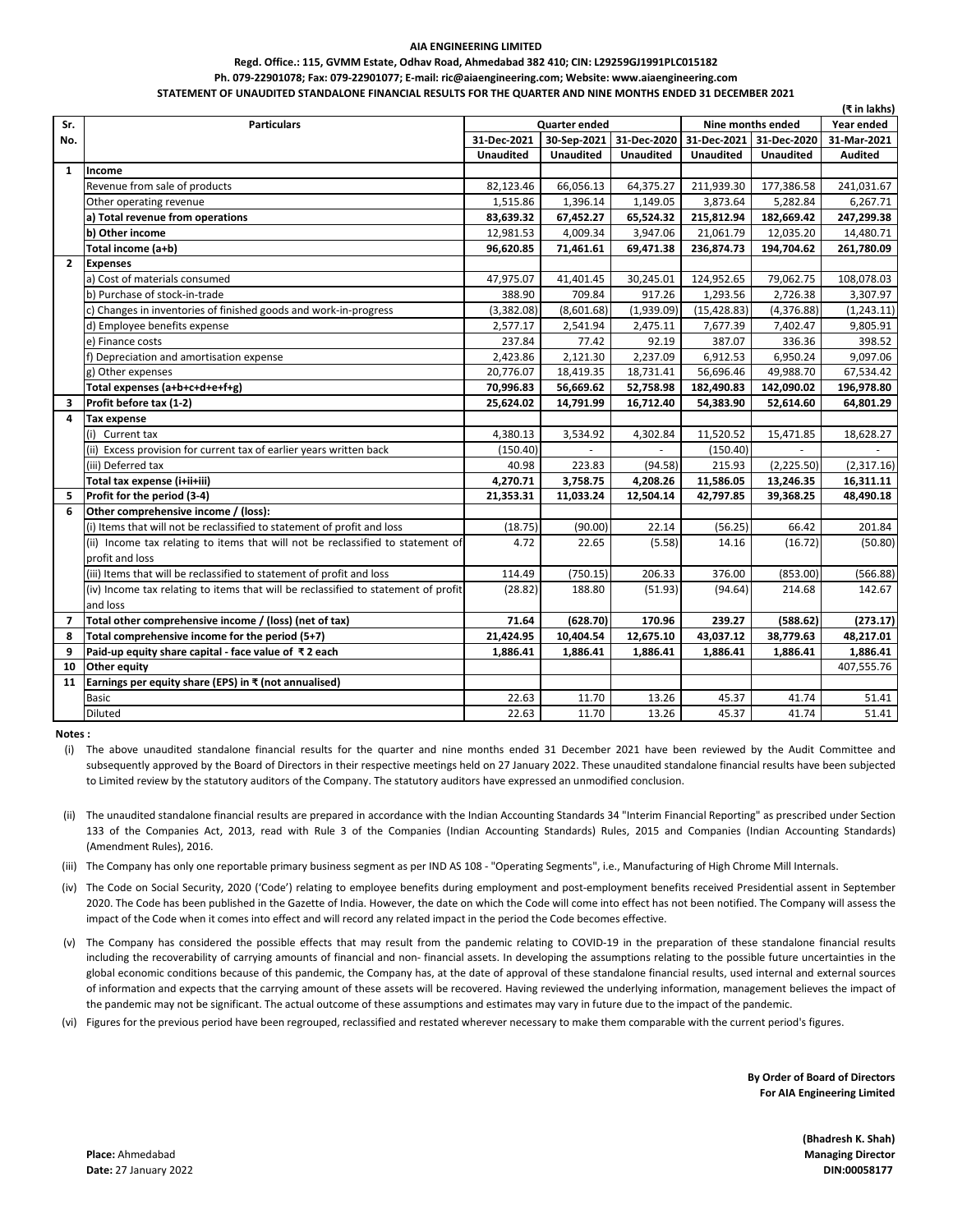## **AIA ENGINEERING LIMITED**

## **Regd. Office.: 115, GVMM Estate, Odhav Road, Ahmedabad 382 410; CIN: L29259GJ1991PLC015182 Ph. 079-22901078; Fax: 079-22901077; E-mail: ric@aiaengineering.com; Website: www.aiaengineering.com STATEMENT OF UNAUDITED STANDALONE FINANCIAL RESULTS FOR THE QUARTER AND NINE MONTHS ENDED 31 DECEMBER 2021**

|                | (₹ in lakhs)                                                                       |                                           |                  |                  |                  |                  |             |  |
|----------------|------------------------------------------------------------------------------------|-------------------------------------------|------------------|------------------|------------------|------------------|-------------|--|
| Sr.            | <b>Particulars</b>                                                                 | Nine months ended<br><b>Quarter ended</b> |                  |                  |                  |                  | Year ended  |  |
| No.            |                                                                                    | 31-Dec-2021                               | 30-Sep-2021      | 31-Dec-2020      | 31-Dec-2021      | 31-Dec-2020      | 31-Mar-2021 |  |
|                |                                                                                    | <b>Unaudited</b>                          | <b>Unaudited</b> | <b>Unaudited</b> | <b>Unaudited</b> | <b>Unaudited</b> | Audited     |  |
| $\mathbf{1}$   | Income                                                                             |                                           |                  |                  |                  |                  |             |  |
|                | Revenue from sale of products                                                      | 82,123.46                                 | 66,056.13        | 64,375.27        | 211,939.30       | 177,386.58       | 241,031.67  |  |
|                | Other operating revenue                                                            | 1,515.86                                  | 1,396.14         | 1,149.05         | 3,873.64         | 5,282.84         | 6,267.71    |  |
|                | a) Total revenue from operations                                                   | 83,639.32                                 | 67,452.27        | 65,524.32        | 215,812.94       | 182,669.42       | 247,299.38  |  |
|                | b) Other income                                                                    | 12,981.53                                 | 4,009.34         | 3,947.06         | 21,061.79        | 12,035.20        | 14,480.71   |  |
|                | Total income (a+b)                                                                 | 96,620.85                                 | 71,461.61        | 69,471.38        | 236,874.73       | 194,704.62       | 261,780.09  |  |
| $\overline{2}$ | <b>Expenses</b>                                                                    |                                           |                  |                  |                  |                  |             |  |
|                | a) Cost of materials consumed                                                      | 47,975.07                                 | 41,401.45        | 30,245.01        | 124,952.65       | 79,062.75        | 108,078.03  |  |
|                | b) Purchase of stock-in-trade                                                      | 388.90                                    | 709.84           | 917.26           | 1,293.56         | 2,726.38         | 3,307.97    |  |
|                | c) Changes in inventories of finished goods and work-in-progress                   | (3,382.08)                                | (8,601.68)       | (1,939.09)       | (15, 428.83)     | (4,376.88)       | (1, 243.11) |  |
|                | d) Employee benefits expense                                                       | 2,577.17                                  | 2,541.94         | 2,475.11         | 7,677.39         | 7,402.47         | 9,805.91    |  |
|                | e) Finance costs                                                                   | 237.84                                    | 77.42            | 92.19            | 387.07           | 336.36           | 398.52      |  |
|                | f) Depreciation and amortisation expense                                           | 2,423.86                                  | 2,121.30         | 2,237.09         | 6,912.53         | 6,950.24         | 9,097.06    |  |
|                | g) Other expenses                                                                  | 20,776.07                                 | 18,419.35        | 18,731.41        | 56,696.46        | 49,988.70        | 67,534.42   |  |
|                | Total expenses (a+b+c+d+e+f+g)                                                     | 70,996.83                                 | 56,669.62        | 52,758.98        | 182,490.83       | 142,090.02       | 196,978.80  |  |
| 3              | Profit before tax (1-2)                                                            | 25,624.02                                 | 14,791.99        | 16,712.40        | 54,383.90        | 52,614.60        | 64,801.29   |  |
| 4              | <b>Tax expense</b>                                                                 |                                           |                  |                  |                  |                  |             |  |
|                | (i) Current tax                                                                    | 4,380.13                                  | 3,534.92         | 4,302.84         | 11,520.52        | 15,471.85        | 18,628.27   |  |
|                | (ii) Excess provision for current tax of earlier years written back                | (150.40)                                  |                  |                  | (150.40)         |                  |             |  |
|                | (iii) Deferred tax                                                                 | 40.98                                     | 223.83           | (94.58)          | 215.93           | (2, 225.50)      | (2,317.16)  |  |
|                | Total tax expense (i+ii+iii)                                                       | 4,270.71                                  | 3,758.75         | 4,208.26         | 11,586.05        | 13,246.35        | 16,311.11   |  |
| 5              | Profit for the period (3-4)                                                        | 21,353.31                                 | 11,033.24        | 12,504.14        | 42,797.85        | 39,368.25        | 48,490.18   |  |
| 6              | Other comprehensive income / (loss):                                               |                                           |                  |                  |                  |                  |             |  |
|                | (i) Items that will not be reclassified to statement of profit and loss            | (18.75)                                   | (90.00)          | 22.14            | (56.25)          | 66.42            | 201.84      |  |
|                | (ii) Income tax relating to items that will not be reclassified to statement of    | 4.72                                      | 22.65            | (5.58)           | 14.16            | (16.72)          | (50.80)     |  |
|                | profit and loss                                                                    |                                           |                  |                  |                  |                  |             |  |
|                | (iii) Items that will be reclassified to statement of profit and loss              | 114.49                                    | (750.15)         | 206.33           | 376.00           | (853.00)         | (566.88)    |  |
|                | (iv) Income tax relating to items that will be reclassified to statement of profit | (28.82)                                   | 188.80           | (51.93)          | (94.64)          | 214.68           | 142.67      |  |
|                | and loss                                                                           |                                           |                  |                  |                  |                  |             |  |
| 7              | Total other comprehensive income / (loss) (net of tax)                             | 71.64                                     | (628.70)         | 170.96           | 239.27           | (588.62)         | (273.17)    |  |
| 8              | Total comprehensive income for the period (5+7)                                    | 21,424.95                                 | 10,404.54        | 12,675.10        | 43,037.12        | 38,779.63        | 48,217.01   |  |
| 9              | Paid-up equity share capital - face value of ₹2 each                               | 1,886.41                                  | 1,886.41         | 1,886.41         | 1,886.41         | 1,886.41         | 1,886.41    |  |
| 10             | <b>Other equity</b>                                                                |                                           |                  |                  |                  |                  | 407,555.76  |  |
| 11             | Earnings per equity share (EPS) in $\bar{x}$ (not annualised)                      |                                           |                  |                  |                  |                  |             |  |
|                | Basic                                                                              | 22.63                                     | 11.70            | 13.26            | 45.37            | 41.74            | 51.41       |  |
|                | Diluted                                                                            | 22.63                                     | 11.70            | 13.26            | 45.37            | 41.74            | 51.41       |  |

**Notes :**

(i) The above unaudited standalone financial results for the quarter and nine months ended 31 December 2021 have been reviewed by the Audit Committee and subsequently approved by the Board of Directors in their respective meetings held on 27 January 2022. These unaudited standalone financial results have been subjected to Limited review by the statutory auditors of the Company. The statutory auditors have expressed an unmodified conclusion.

- (ii) The unaudited standalone financial results are prepared in accordance with the Indian Accounting Standards 34 "Interim Financial Reporting" as prescribed under Section 133 of the Companies Act, 2013, read with Rule 3 of the Companies (Indian Accounting Standards) Rules, 2015 and Companies (Indian Accounting Standards) (Amendment Rules), 2016.
- (iii) The Company has only one reportable primary business segment as per IND AS 108 "Operating Segments", i.e., Manufacturing of High Chrome Mill Internals.
- (iv) The Code on Social Security, 2020 ('Code') relating to employee benefits during employment and post-employment benefits received Presidential assent in September 2020. The Code has been published in the Gazette of India. However, the date on which the Code will come into effect has not been notified. The Company will assess the impact of the Code when it comes into effect and will record any related impact in the period the Code becomes effective.
- (v) The Company has considered the possible effects that may result from the pandemic relating to COVID-19 in the preparation of these standalone financial results including the recoverability of carrying amounts of financial and non- financial assets. In developing the assumptions relating to the possible future uncertainties in the global economic conditions because of this pandemic, the Company has, at the date of approval of these standalone financial results, used internal and external sources of information and expects that the carrying amount of these assets will be recovered. Having reviewed the underlying information, management believes the impact of the pandemic may not be significant. The actual outcome of these assumptions and estimates may vary in future due to the impact of the pandemic.
- (vi) Figures for the previous period have been regrouped, reclassified and restated wherever necessary to make them comparable with the current period's figures.

**By Order of Board of Directors For AIA Engineering Limited**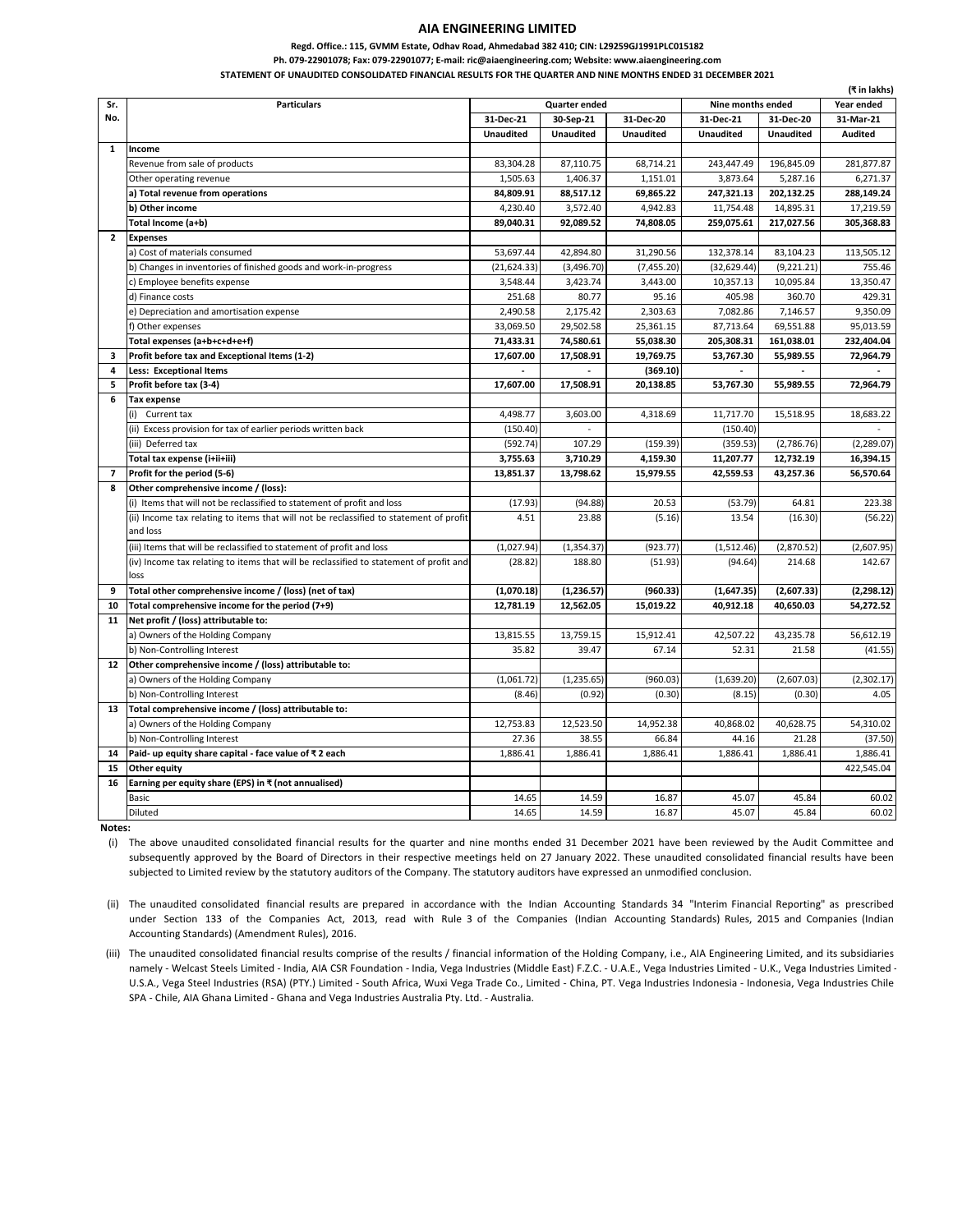## **AIA ENGINEERING LIMITED**

**Regd. Office.: 115, GVMM Estate, Odhav Road, Ahmedabad 382 410; CIN: L29259GJ1991PLC015182**

**Ph. 079-22901078; Fax: 079-22901077; E-mail: ric@aiaengineering.com; Website: www.aiaengineering.com**

**STATEMENT OF UNAUDITED CONSOLIDATED FINANCIAL RESULTS FOR THE QUARTER AND NINE MONTHS ENDED 31 DECEMBER 2021**

|                          |                                                                                        |                                           |                  |                  |                  |                  | (₹ in lakhs)   |
|--------------------------|----------------------------------------------------------------------------------------|-------------------------------------------|------------------|------------------|------------------|------------------|----------------|
| Sr.                      | <b>Particulars</b>                                                                     | <b>Quarter ended</b><br>Nine months ended |                  |                  |                  | Year ended       |                |
| No.                      |                                                                                        | 31-Dec-21                                 | 30-Sep-21        | 31-Dec-20        | 31-Dec-21        | 31-Dec-20        | 31-Mar-21      |
|                          |                                                                                        | <b>Unaudited</b>                          | <b>Unaudited</b> | <b>Unaudited</b> | <b>Unaudited</b> | <b>Unaudited</b> | <b>Audited</b> |
| $\mathbf{1}$             | Income                                                                                 |                                           |                  |                  |                  |                  |                |
|                          | Revenue from sale of products                                                          | 83,304.28                                 | 87,110.75        | 68,714.21        | 243,447.49       | 196,845.09       | 281,877.87     |
|                          | Other operating revenue                                                                | 1,505.63                                  | 1,406.37         | 1,151.01         | 3,873.64         | 5,287.16         | 6,271.37       |
|                          | a) Total revenue from operations                                                       | 84,809.91                                 | 88,517.12        | 69,865.22        | 247,321.13       | 202,132.25       | 288,149.24     |
|                          | b) Other income                                                                        | 4,230.40                                  | 3,572.40         | 4,942.83         | 11,754.48        | 14,895.31        | 17,219.59      |
|                          | Total Income (a+b)                                                                     | 89,040.31                                 | 92,089.52        | 74,808.05        | 259,075.61       | 217,027.56       | 305,368.83     |
| $\overline{2}$           | <b>Expenses</b>                                                                        |                                           |                  |                  |                  |                  |                |
|                          | a) Cost of materials consumed                                                          | 53,697.44                                 | 42,894.80        | 31,290.56        | 132,378.14       | 83,104.23        | 113,505.12     |
|                          | b) Changes in inventories of finished goods and work-in-progress                       | (21, 624.33)                              | (3,496.70)       | (7,455.20)       | (32, 629.44)     | (9, 221.21)      | 755.46         |
|                          | c) Employee benefits expense                                                           | 3,548.44                                  | 3,423.74         | 3,443.00         | 10,357.13        | 10,095.84        | 13,350.47      |
|                          | d) Finance costs                                                                       | 251.68                                    | 80.77            | 95.16            | 405.98           | 360.70           | 429.31         |
|                          | e) Depreciation and amortisation expense                                               | 2,490.58                                  | 2,175.42         | 2,303.63         | 7.082.86         | 7,146.57         | 9,350.09       |
|                          | f) Other expenses                                                                      | 33.069.50                                 | 29.502.58        | 25.361.15        | 87.713.64        | 69,551.88        | 95.013.59      |
|                          | Total expenses (a+b+c+d+e+f)                                                           | 71,433.31                                 | 74,580.61        | 55,038.30        | 205,308.31       | 161,038.01       | 232,404.04     |
| 3                        | Profit before tax and Exceptional Items (1-2)                                          | 17,607.00                                 | 17,508.91        | 19,769.75        | 53,767.30        | 55,989.55        | 72,964.79      |
| 4                        | <b>Less: Exceptional Items</b>                                                         |                                           |                  | (369.10)         |                  |                  |                |
| 5                        | Profit before tax (3-4)                                                                | 17,607.00                                 | 17,508.91        | 20.138.85        | 53.767.30        | 55,989.55        | 72.964.79      |
| 6                        | <b>Tax expense</b>                                                                     |                                           |                  |                  |                  |                  |                |
|                          | (i) Current tax                                                                        | 4,498.77                                  | 3,603.00         | 4,318.69         | 11,717.70        | 15,518.95        | 18,683.22      |
|                          | (ii) Excess provision for tax of earlier periods written back                          | (150.40)                                  |                  |                  | (150.40)         |                  |                |
|                          | (iii) Deferred tax                                                                     | (592.74)                                  | 107.29           | (159.39)         | (359.53)         | (2,786.76)       | (2, 289.07)    |
|                          | Total tax expense (i+ii+iii)                                                           | 3,755.63                                  | 3,710.29         | 4,159.30         | 11,207.77        | 12,732.19        | 16,394.15      |
| $\overline{\phantom{a}}$ | Profit for the period (5-6)                                                            | 13,851.37                                 | 13,798.62        | 15,979.55        | 42,559.53        | 43,257.36        | 56,570.64      |
| 8                        | Other comprehensive income / (loss):                                                   |                                           |                  |                  |                  |                  |                |
|                          | (i) Items that will not be reclassified to statement of profit and loss                | (17.93)                                   | (94.88)          | 20.53            | (53.79)          | 64.81            | 223.38         |
|                          | (ii) Income tax relating to items that will not be reclassified to statement of profit | 4.51                                      | 23.88            | (5.16)           | 13.54            | (16.30)          | (56.22)        |
|                          | and loss                                                                               |                                           |                  |                  |                  |                  |                |
|                          | (iii) Items that will be reclassified to statement of profit and loss                  | (1,027.94)                                | (1,354.37)       | (923.77)         | (1,512.46)       | (2,870.52)       | (2,607.95)     |
|                          | (iv) Income tax relating to items that will be reclassified to statement of profit and | (28.82)                                   | 188.80           | (51.93)          | (94.64)          | 214.68           | 142.67         |
|                          | loss                                                                                   |                                           |                  |                  |                  |                  |                |
| 9                        | Total other comprehensive income / (loss) (net of tax)                                 | (1,070.18)                                | (1, 236.57)      | (960.33)         | (1,647.35)       | (2,607.33)       | (2, 298.12)    |
| 10                       | Total comprehensive income for the period (7+9)                                        | 12,781.19                                 | 12,562.05        | 15,019.22        | 40,912.18        | 40,650.03        | 54,272.52      |
| 11                       | Net profit / (loss) attributable to:                                                   |                                           |                  |                  |                  |                  |                |
|                          | a) Owners of the Holding Company                                                       | 13,815.55                                 | 13,759.15        | 15,912.41        | 42,507.22        | 43,235.78        | 56,612.19      |
|                          | b) Non-Controlling Interest                                                            | 35.82                                     | 39.47            | 67.14            | 52.31            | 21.58            | (41.55)        |
| 12                       | Other comprehensive income / (loss) attributable to:                                   |                                           |                  |                  |                  |                  |                |
|                          | a) Owners of the Holding Company                                                       | (1,061.72)                                | (1, 235.65)      | (960.03)         | (1,639.20)       | (2,607.03)       | (2,302.17)     |
|                          | b) Non-Controlling Interest                                                            | (8.46)                                    | (0.92)           | (0.30)           | (8.15)           | (0.30)           | 4.05           |
| 13                       | Total comprehensive income / (loss) attributable to:                                   |                                           |                  |                  |                  |                  |                |
|                          | a) Owners of the Holding Company                                                       | 12,753.83                                 | 12,523.50        | 14,952.38        | 40.868.02        | 40.628.75        | 54.310.02      |
|                          | b) Non-Controlling Interest                                                            | 27.36                                     | 38.55            | 66.84            | 44.16            | 21.28            | (37.50)        |
| 14                       | Paid- up equity share capital - face value of ₹2 each                                  | 1,886.41                                  | 1,886.41         | 1,886.41         | 1,886.41         | 1,886.41         | 1,886.41       |
| 15                       | Other equity                                                                           |                                           |                  |                  |                  |                  | 422,545.04     |
| 16                       | Earning per equity share (EPS) in ₹ (not annualised)                                   |                                           |                  |                  |                  |                  |                |
|                          | <b>Basic</b>                                                                           | 14.65                                     | 14.59            | 16.87            | 45.07            | 45.84            | 60.02          |
|                          |                                                                                        |                                           |                  |                  |                  |                  |                |
|                          | Diluted                                                                                | 14.65                                     | 14.59            | 16.87            | 45.07            | 45.84            | 60.02          |

**Notes:**

(i) The above unaudited consolidated financial results for the quarter and nine months ended 31 December 2021 have been reviewed by the Audit Committee and subsequently approved by the Board of Directors in their respective meetings held on 27 January 2022. These unaudited consolidated financial results have been subjected to Limited review by the statutory auditors of the Company. The statutory auditors have expressed an unmodified conclusion.

(ii) The unaudited consolidated financial results are prepared in accordance with the Indian Accounting Standards 34 "Interim Financial Reporting" as prescribed under Section 133 of the Companies Act, 2013, read with Rule 3 of the Companies (Indian Accounting Standards) Rules, 2015 and Companies (Indian Accounting Standards) (Amendment Rules), 2016.

(iii) The unaudited consolidated financial results comprise of the results / financial information of the Holding Company, i.e., AIA Engineering Limited, and its subsidiaries namely - Welcast Steels Limited - India, AIA CSR Foundation - India, Vega Industries (Middle East) F.Z.C. - U.A.E., Vega Industries Limited - U.K., Vega Industries Limited -U.S.A., Vega Steel Industries (RSA) (PTY.) Limited - South Africa, Wuxi Vega Trade Co., Limited - China, PT. Vega Industries Indonesia - Indonesia, Vega Industries Chile SPA - Chile, AIA Ghana Limited - Ghana and Vega Industries Australia Pty. Ltd. - Australia.